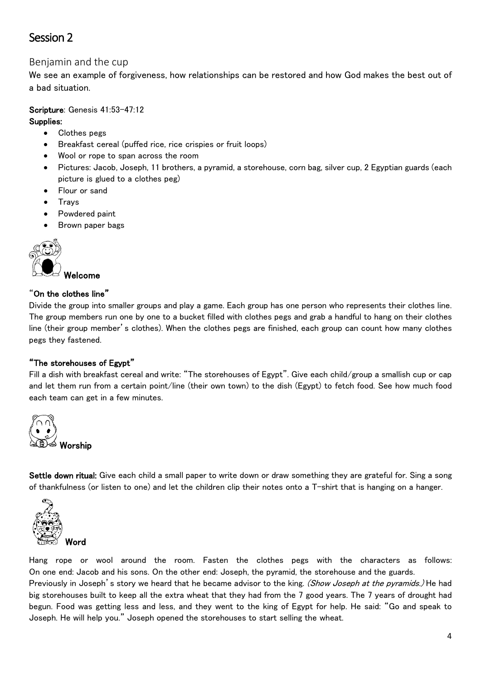# Session 2

## Benjamin and the cup

We see an example of forgiveness, how relationships can be restored and how God makes the best out of a bad situation.

## Scripture: Genesis 41:53-47:12

## Supplies:

- Clothes pegs
- Breakfast cereal (puffed rice, rice crispies or fruit loops)
- Wool or rope to span across the room
- Pictures: Jacob, Joseph, 11 brothers, a pyramid, a storehouse, corn bag, silver cup, 2 Egyptian guards (each picture is glued to a clothes peg)
- Flour or sand
- Trays
- Powdered paint
- Brown paper bags



## "On the clothes line"

Divide the group into smaller groups and play a game. Each group has one person who represents their clothes line. The group members run one by one to a bucket filled with clothes pegs and grab a handful to hang on their clothes line (their group member's clothes). When the clothes pegs are finished, each group can count how many clothes pegs they fastened.

## "The storehouses of Egypt"

Fill a dish with breakfast cereal and write: "The storehouses of Egypt". Give each child/group a smallish cup or cap and let them run from a certain point/line (their own town) to the dish (Egypt) to fetch food. See how much food each team can get in a few minutes.



Settle down ritual: Give each child a small paper to write down or draw something they are grateful for. Sing a song of thankfulness (or listen to one) and let the children clip their notes onto a T-shirt that is hanging on a hanger.



Hang rope or wool around the room. Fasten the clothes pegs with the characters as follows: On one end: Jacob and his sons. On the other end: Joseph, the pyramid, the storehouse and the guards.

Previously in Joseph's story we heard that he became advisor to the king. (Show Joseph at the pyramids.) He had big storehouses built to keep all the extra wheat that they had from the 7 good years. The 7 years of drought had begun. Food was getting less and less, and they went to the king of Egypt for help. He said: "Go and speak to Joseph. He will help you." Joseph opened the storehouses to start selling the wheat.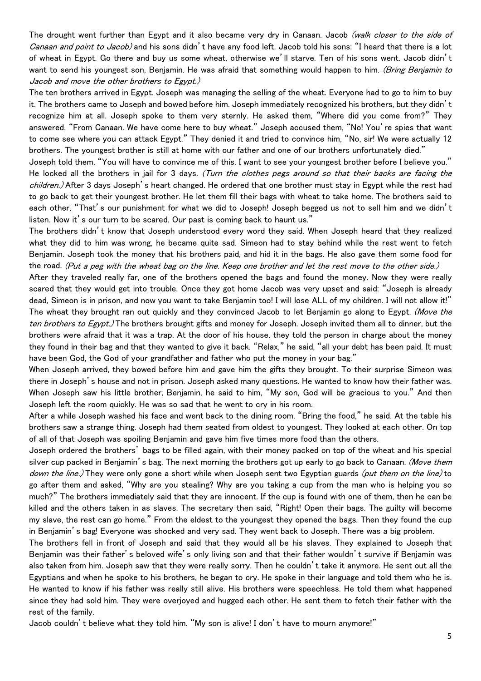The drought went further than Egypt and it also became very dry in Canaan. Jacob (walk closer to the side of Canaan and point to Jacob) and his sons didn't have any food left. Jacob told his sons: "I heard that there is a lot of wheat in Egypt. Go there and buy us some wheat, otherwise we'll starve. Ten of his sons went. Jacob didn't want to send his youngest son, Benjamin. He was afraid that something would happen to him. (Bring Benjamin to Jacob and move the other brothers to Egypt.)

The ten brothers arrived in Egypt. Joseph was managing the selling of the wheat. Everyone had to go to him to buy it. The brothers came to Joseph and bowed before him. Joseph immediately recognized his brothers, but they didn't recognize him at all. Joseph spoke to them very sternly. He asked them, "Where did you come from?" They answered, "From Canaan. We have come here to buy wheat." Joseph accused them, "No! You're spies that want to come see where you can attack Egypt." They denied it and tried to convince him, "No, sir! We were actually 12 brothers. The youngest brother is still at home with our father and one of our brothers unfortunately died."

Joseph told them, "You will have to convince me of this. I want to see your youngest brother before I believe you." He locked all the brothers in jail for 3 days. (Turn the clothes pegs around so that their backs are facing the children.) After 3 days Joseph's heart changed. He ordered that one brother must stay in Egypt while the rest had to go back to get their youngest brother. He let them fill their bags with wheat to take home. The brothers said to each other, "That's our punishment for what we did to Joseph! Joseph begged us not to sell him and we didn't listen. Now it's our turn to be scared. Our past is coming back to haunt us."

The brothers didn't know that Joseph understood every word they said. When Joseph heard that they realized what they did to him was wrong, he became quite sad. Simeon had to stay behind while the rest went to fetch Benjamin. Joseph took the money that his brothers paid, and hid it in the bags. He also gave them some food for the road. (Put a peg with the wheat bag on the line. Keep one brother and let the rest move to the other side.)

After they traveled really far, one of the brothers opened the bags and found the money. Now they were really scared that they would get into trouble. Once they got home Jacob was very upset and said: "Joseph is already dead, Simeon is in prison, and now you want to take Benjamin too! I will lose ALL of my children. I will not allow it!" The wheat they brought ran out quickly and they convinced Jacob to let Benjamin go along to Egypt. (Move the ten brothers to Egypt.) The brothers brought gifts and money for Joseph. Joseph invited them all to dinner, but the brothers were afraid that it was a trap. At the door of his house, they told the person in charge about the money they found in their bag and that they wanted to give it back. "Relax," he said, "all your debt has been paid. It must have been God, the God of your grandfather and father who put the money in your bag."

When Joseph arrived, they bowed before him and gave him the gifts they brought. To their surprise Simeon was there in Joseph's house and not in prison. Joseph asked many questions. He wanted to know how their father was. When Joseph saw his little brother, Benjamin, he said to him, "My son, God will be gracious to you." And then Joseph left the room quickly. He was so sad that he went to cry in his room.

After a while Joseph washed his face and went back to the dining room. "Bring the food," he said. At the table his brothers saw a strange thing. Joseph had them seated from oldest to youngest. They looked at each other. On top of all of that Joseph was spoiling Benjamin and gave him five times more food than the others.

Joseph ordered the brothers' bags to be filled again, with their money packed on top of the wheat and his special silver cup packed in Benjamin's bag. The next morning the brothers got up early to go back to Canaan. (Move them down the line.) They were only gone a short while when Joseph sent two Egyptian guards (put them on the line) to go after them and asked, "Why are you stealing? Why are you taking a cup from the man who is helping you so much?" The brothers immediately said that they are innocent. If the cup is found with one of them, then he can be killed and the others taken in as slaves. The secretary then said, "Right! Open their bags. The guilty will become my slave, the rest can go home." From the eldest to the youngest they opened the bags. Then they found the cup in Benjamin's bag! Everyone was shocked and very sad. They went back to Joseph. There was a big problem.

The brothers fell in front of Joseph and said that they would all be his slaves. They explained to Joseph that Benjamin was their father's beloved wife's only living son and that their father wouldn't survive if Benjamin was also taken from him. Joseph saw that they were really sorry. Then he couldn't take it anymore. He sent out all the Egyptians and when he spoke to his brothers, he began to cry. He spoke in their language and told them who he is. He wanted to know if his father was really still alive. His brothers were speechless. He told them what happened since they had sold him. They were overjoyed and hugged each other. He sent them to fetch their father with the rest of the family.

Jacob couldn't believe what they told him. "My son is alive! I don't have to mourn anymore!"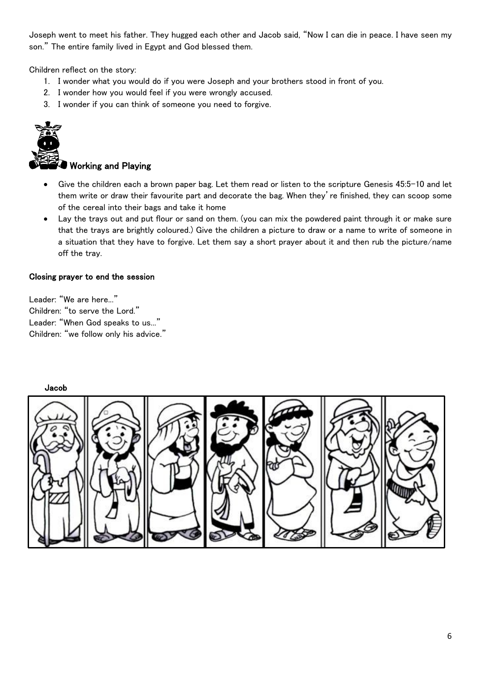Joseph went to meet his father. They hugged each other and Jacob said, "Now I can die in peace. I have seen my son." The entire family lived in Egypt and God blessed them.

Children reflect on the story:

- 1. I wonder what you would do if you were Joseph and your brothers stood in front of you.
- 2. I wonder how you would feel if you were wrongly accused.
- 3. I wonder if you can think of someone you need to forgive.



## Working and Playing

- Give the children each a brown paper bag. Let them read or listen to the scripture Genesis 45:5-10 and let them write or draw their favourite part and decorate the bag. When they're finished, they can scoop some of the cereal into their bags and take it home
- Lay the trays out and put flour or sand on them. (you can mix the powdered paint through it or make sure that the trays are brightly coloured.) Give the children a picture to draw or a name to write of someone in a situation that they have to forgive. Let them say a short prayer about it and then rub the picture/name off the tray.

#### Closing prayer to end the session

Leader: "We are here..." Children: "to serve the Lord." Leader: "When God speaks to us..." Children: "we follow only his advice."